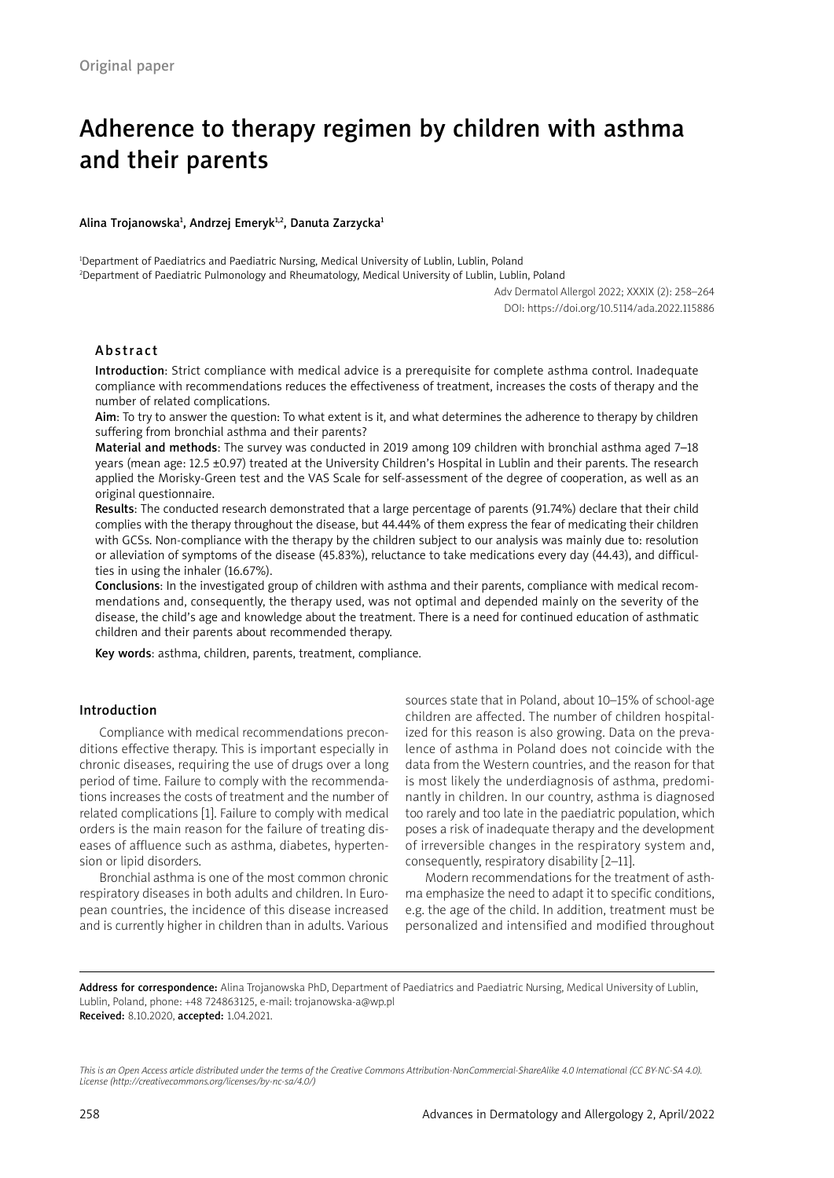# Adherence to therapy regimen by children with asthma and their parents

#### Alina Trojanowska<del>'</del>, Andrzej Emeryk<del>'</del>', Danuta Zarzycka<del>'</del>

1 Department of Paediatrics and Paediatric Nursing, Medical University of Lublin, Lublin, Poland 2 Department of Paediatric Pulmonology and Rheumatology, Medical University of Lublin, Lublin, Poland

> Adv Dermatol Allergol 2022; XXXIX (2): 258–264 DOI: https://doi.org/10.5114/ada.2022.115886

# Abstract

Introduction: Strict compliance with medical advice is a prerequisite for complete asthma control. Inadequate compliance with recommendations reduces the effectiveness of treatment, increases the costs of therapy and the number of related complications.

Aim: To try to answer the question: To what extent is it, and what determines the adherence to therapy by children suffering from bronchial asthma and their parents?

Material and methods: The survey was conducted in 2019 among 109 children with bronchial asthma aged 7-18 years (mean age: 12.5 ±0.97) treated at the University Children's Hospital in Lublin and their parents. The research applied the Morisky-Green test and the VAS Scale for self-assessment of the degree of cooperation, as well as an original questionnaire.

Results: The conducted research demonstrated that a large percentage of parents (91.74%) declare that their child complies with the therapy throughout the disease, but 44.44% of them express the fear of medicating their children with GCSs. Non-compliance with the therapy by the children subject to our analysis was mainly due to: resolution or alleviation of symptoms of the disease (45.83%), reluctance to take medications every day (44.43), and difficulties in using the inhaler (16.67%).

Conclusions: In the investigated group of children with asthma and their parents, compliance with medical recommendations and, consequently, the therapy used, was not optimal and depended mainly on the severity of the disease, the child's age and knowledge about the treatment. There is a need for continued education of asthmatic children and their parents about recommended therapy.

Key words: asthma, children, parents, treatment, compliance.

# Introduction

Compliance with medical recommendations preconditions effective therapy. This is important especially in chronic diseases, requiring the use of drugs over a long period of time. Failure to comply with the recommendations increases the costs of treatment and the number of related complications [1]. Failure to comply with medical orders is the main reason for the failure of treating diseases of affluence such as asthma, diabetes, hypertension or lipid disorders.

Bronchial asthma is one of the most common chronic respiratory diseases in both adults and children. In European countries, the incidence of this disease increased and is currently higher in children than in adults. Various sources state that in Poland, about 10–15% of school-age children are affected. The number of children hospitalized for this reason is also growing. Data on the prevalence of asthma in Poland does not coincide with the data from the Western countries, and the reason for that is most likely the underdiagnosis of asthma, predominantly in children. In our country, asthma is diagnosed too rarely and too late in the paediatric population, which poses a risk of inadequate therapy and the development of irreversible changes in the respiratory system and, consequently, respiratory disability [2–11].

Modern recommendations for the treatment of asthma emphasize the need to adapt it to specific conditions, e.g. the age of the child. In addition, treatment must be personalized and intensified and modified throughout

Address for correspondence: Alina Trojanowska PhD, Department of Paediatrics and Paediatric Nursing, Medical University of Lublin, Lublin, Poland, phone: +48 724863125, e-mail: trojanowska-a@wp.pl Received: 8.10.2020, accepted: 1.04.2021.

*This is an Open Access article distributed under the terms of the Creative Commons Attribution-NonCommercial-ShareAlike 4.0 International (CC BY-NC-SA 4.0). License (http://creativecommons.org/licenses/by-nc-sa/4.0/)*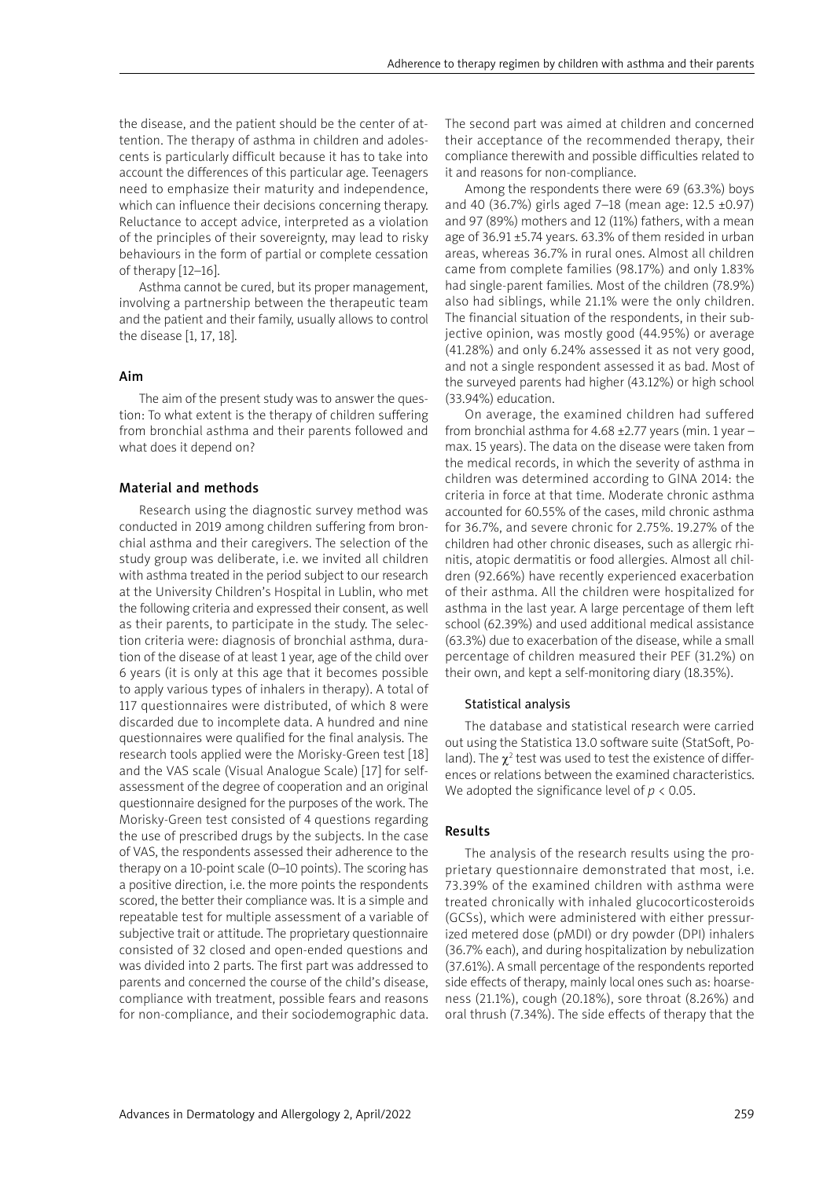the disease, and the patient should be the center of attention. The therapy of asthma in children and adolescents is particularly difficult because it has to take into account the differences of this particular age. Teenagers need to emphasize their maturity and independence, which can influence their decisions concerning therapy. Reluctance to accept advice, interpreted as a violation of the principles of their sovereignty, may lead to risky behaviours in the form of partial or complete cessation of therapy [12–16].

Asthma cannot be cured, but its proper management, involving a partnership between the therapeutic team and the patient and their family, usually allows to control the disease [1, 17, 18].

#### Aim

The aim of the present study was to answer the question: To what extent is the therapy of children suffering from bronchial asthma and their parents followed and what does it depend on?

# Material and methods

Research using the diagnostic survey method was conducted in 2019 among children suffering from bronchial asthma and their caregivers. The selection of the study group was deliberate, i.e. we invited all children with asthma treated in the period subject to our research at the University Children's Hospital in Lublin, who met the following criteria and expressed their consent, as well as their parents, to participate in the study. The selection criteria were: diagnosis of bronchial asthma, duration of the disease of at least 1 year, age of the child over 6 years (it is only at this age that it becomes possible to apply various types of inhalers in therapy). A total of 117 questionnaires were distributed, of which 8 were discarded due to incomplete data. A hundred and nine questionnaires were qualified for the final analysis. The research tools applied were the Morisky-Green test [18] and the VAS scale (Visual Analogue Scale) [17] for selfassessment of the degree of cooperation and an original questionnaire designed for the purposes of the work. The Morisky-Green test consisted of 4 questions regarding the use of prescribed drugs by the subjects. In the case of VAS, the respondents assessed their adherence to the therapy on a 10-point scale (0–10 points). The scoring has a positive direction, i.e. the more points the respondents scored, the better their compliance was. It is a simple and repeatable test for multiple assessment of a variable of subjective trait or attitude. The proprietary questionnaire consisted of 32 closed and open-ended questions and was divided into 2 parts. The first part was addressed to parents and concerned the course of the child's disease, compliance with treatment, possible fears and reasons for non-compliance, and their sociodemographic data. The second part was aimed at children and concerned their acceptance of the recommended therapy, their compliance therewith and possible difficulties related to it and reasons for non-compliance.

Among the respondents there were 69 (63.3%) boys and 40 (36.7%) girls aged 7–18 (mean age: 12.5 ±0.97) and 97 (89%) mothers and 12 (11%) fathers, with a mean age of 36.91 ±5.74 years. 63.3% of them resided in urban areas, whereas 36.7% in rural ones. Almost all children came from complete families (98.17%) and only 1.83% had single-parent families. Most of the children (78.9%) also had siblings, while 21.1% were the only children. The financial situation of the respondents, in their subjective opinion, was mostly good (44.95%) or average (41.28%) and only 6.24% assessed it as not very good, and not a single respondent assessed it as bad. Most of the surveyed parents had higher (43.12%) or high school (33.94%) education.

On average, the examined children had suffered from bronchial asthma for 4.68 ±2.77 years (min. 1 year – max. 15 years). The data on the disease were taken from the medical records, in which the severity of asthma in children was determined according to GINA 2014: the criteria in force at that time. Moderate chronic asthma accounted for 60.55% of the cases, mild chronic asthma for 36.7%, and severe chronic for 2.75%. 19.27% of the children had other chronic diseases, such as allergic rhinitis, atopic dermatitis or food allergies. Almost all children (92.66%) have recently experienced exacerbation of their asthma. All the children were hospitalized for asthma in the last year. A large percentage of them left school (62.39%) and used additional medical assistance (63.3%) due to exacerbation of the disease, while a small percentage of children measured their PEF (31.2%) on their own, and kept a self-monitoring diary (18.35%).

#### Statistical analysis

The database and statistical research were carried out using the Statistica 13.0 software suite (StatSoft, Poland). The  $\chi^2$  test was used to test the existence of differences or relations between the examined characteristics. We adopted the significance level of *p* < 0.05.

#### Results

The analysis of the research results using the proprietary questionnaire demonstrated that most, i.e. 73.39% of the examined children with asthma were treated chronically with inhaled glucocorticosteroids (GCSs), which were administered with either pressurized metered dose (pMDI) or dry powder (DPI) inhalers (36.7% each), and during hospitalization by nebulization (37.61%). A small percentage of the respondents reported side effects of therapy, mainly local ones such as: hoarseness (21.1%), cough (20.18%), sore throat (8.26%) and oral thrush (7.34%). The side effects of therapy that the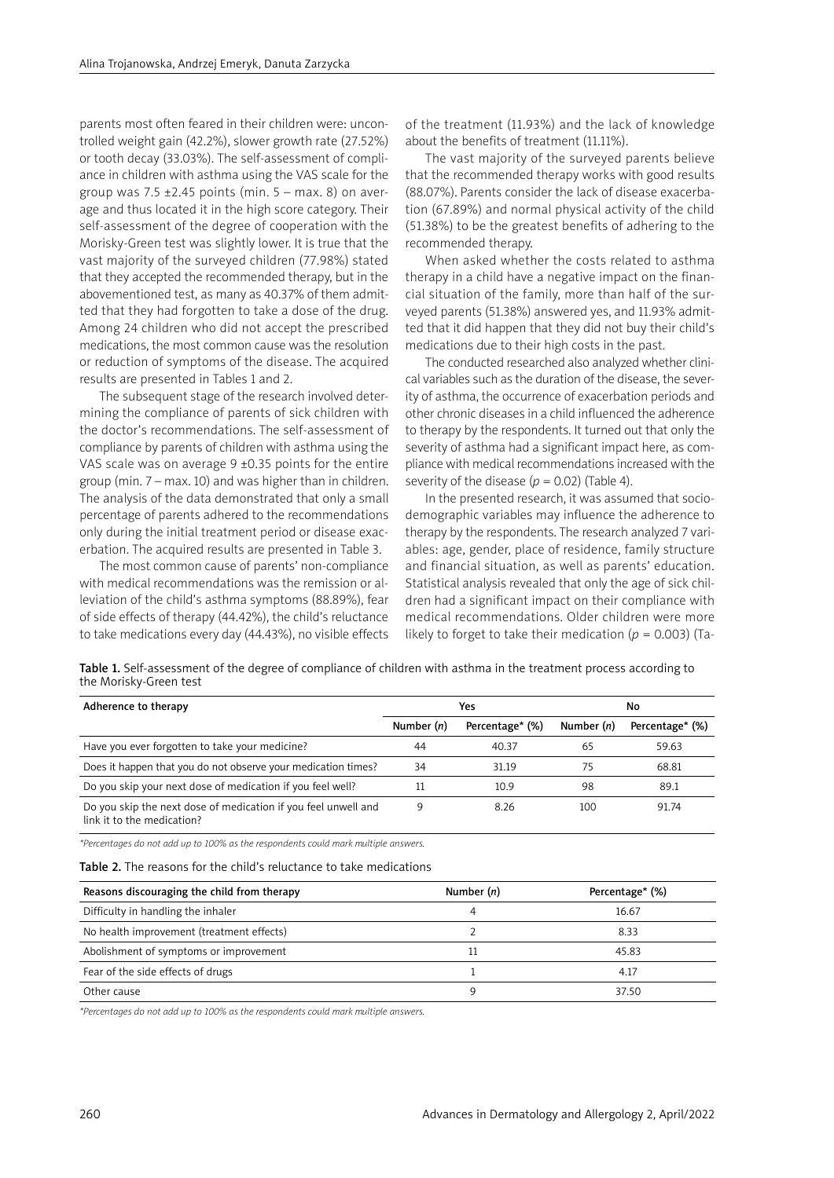parents most often feared in their children were: uncontrolled weight gain (42.2%), slower growth rate (27.52%) or tooth decay (33.03%). The self-assessment of compliance in children with asthma using the VAS scale for the group was  $7.5 \pm 2.45$  points (min.  $5 - \text{max. } 8$ ) on average and thus located it in the high score category. Their self-assessment of the degree of cooperation with the Morisky-Green test was slightly lower. It is true that the vast majority of the surveyed children (77.98%) stated that they accepted the recommended therapy, but in the abovementioned test, as many as 40.37% of them admitted that they had forgotten to take a dose of the drug. Among 24 children who did not accept the prescribed medications, the most common cause was the resolution or reduction of symptoms of the disease. The acquired results are presented in Tables 1 and 2.

The subsequent stage of the research involved determining the compliance of parents of sick children with the doctor's recommendations. The self-assessment of compliance by parents of children with asthma using the VAS scale was on average  $9 \pm 0.35$  points for the entire group (min. 7 – max. 10) and was higher than in children. The analysis of the data demonstrated that only a small percentage of parents adhered to the recommendations only during the initial treatment period or disease exacerbation. The acquired results are presented in Table 3.

The most common cause of parents' non-compliance with medical recommendations was the remission or alleviation of the child's asthma symptoms (88.89%), fear of side effects of therapy (44.42%), the child's reluctance to take medications every day (44.43%), no visible effects of the treatment (11.93%) and the lack of knowledge about the benefits of treatment (11.11%).

The vast majority of the surveyed parents believe that the recommended therapy works with good results (88.07%). Parents consider the lack of disease exacerbation (67.89%) and normal physical activity of the child (51.38%) to be the greatest benefits of adhering to the recommended therapy.

When asked whether the costs related to asthma therapy in a child have a negative impact on the financial situation of the family, more than half of the surveyed parents (51.38%) answered yes, and 11.93% admitted that it did happen that they did not buy their child's medications due to their high costs in the past.

The conducted researched also analyzed whether clinical variables such as the duration of the disease, the severity of asthma, the occurrence of exacerbation periods and other chronic diseases in a child influenced the adherence to therapy by the respondents. It turned out that only the severity of asthma had a significant impact here, as compliance with medical recommendations increased with the severity of the disease  $(p = 0.02)$  (Table 4).

In the presented research, it was assumed that sociodemographic variables may influence the adherence to therapy by the respondents. The research analyzed 7 variables: age, gender, place of residence, family structure and financial situation, as well as parents' education. Statistical analysis revealed that only the age of sick children had a significant impact on their compliance with medical recommendations. Older children were more likely to forget to take their medication ( $p = 0.003$ ) (Ta-

Table 1. Self-assessment of the degree of compliance of children with asthma in the treatment process according to the Morisky-Green test

| Adherence to therapy                                                                         |              | Yes             |              | No              |  |  |
|----------------------------------------------------------------------------------------------|--------------|-----------------|--------------|-----------------|--|--|
|                                                                                              | Number $(n)$ | Percentage* (%) | Number $(n)$ | Percentage* (%) |  |  |
| Have you ever forgotten to take your medicine?                                               | 44           | 40.37           | 65           | 59.63           |  |  |
| Does it happen that you do not observe your medication times?                                | 34           | 31.19           | 75           | 68.81           |  |  |
| Do you skip your next dose of medication if you feel well?                                   |              | 10.9            | 98           | 89.1            |  |  |
| Do you skip the next dose of medication if you feel unwell and<br>link it to the medication? | q            | 8.26            | 100          | 91.74           |  |  |

*\*Percentages do not add up to 100% as the respondents could mark multiple answers.*

Table 2. The reasons for the child's reluctance to take medications

| Reasons discouraging the child from therapy | Number $(n)$ | Percentage* (%) |  |
|---------------------------------------------|--------------|-----------------|--|
| Difficulty in handling the inhaler          | 4            | 16.67           |  |
| No health improvement (treatment effects)   |              | 8.33            |  |
| Abolishment of symptoms or improvement      | 11           | 45.83           |  |
| Fear of the side effects of drugs           |              | 4.17            |  |
| Other cause                                 | q            | 37.50           |  |

*\*Percentages do not add up to 100% as the respondents could mark multiple answers.*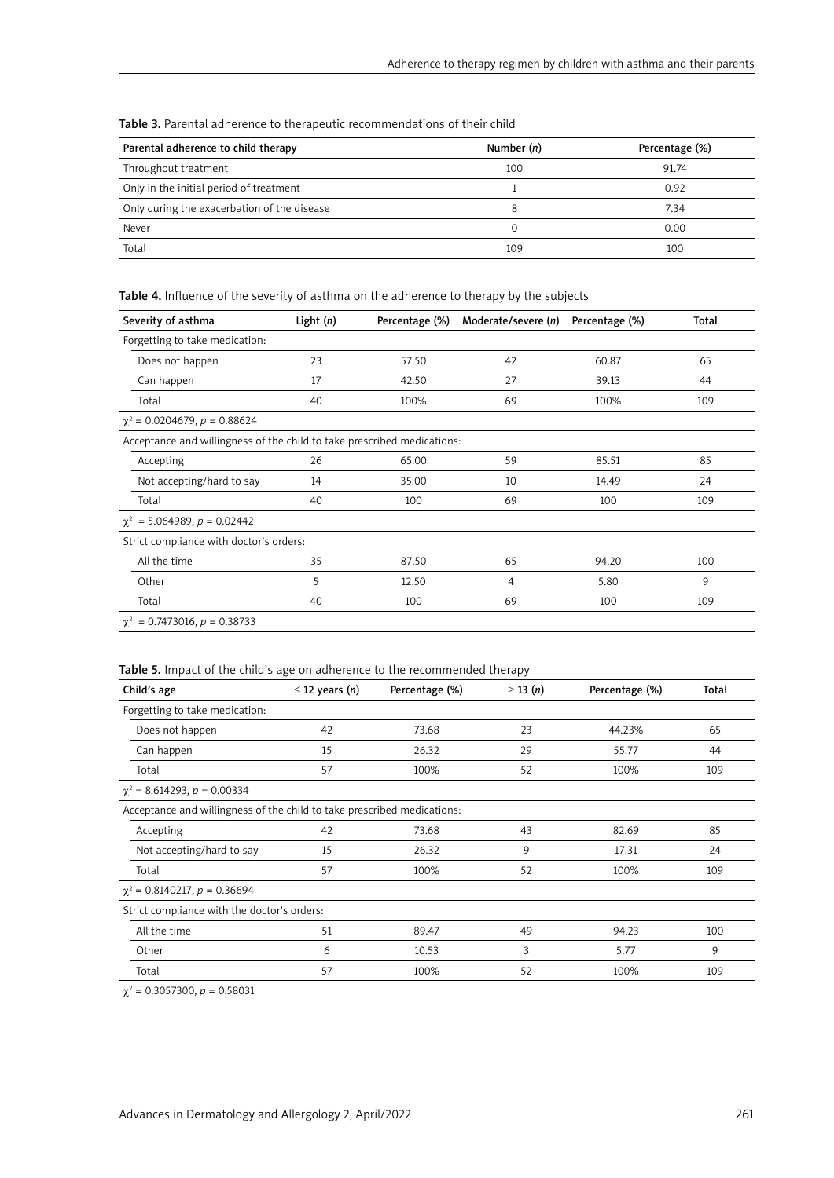| Parental adherence to child therapy         | Number $(n)$ | Percentage (%) |
|---------------------------------------------|--------------|----------------|
| Throughout treatment                        | 100          | 91.74          |
| Only in the initial period of treatment     |              | 0.92           |
| Only during the exacerbation of the disease | 8            | 7.34           |
| Never                                       | 0            | 0.00           |
| Total                                       | 109          | 100            |

Table 3. Parental adherence to therapeutic recommendations of their child

Table 4. Influence of the severity of asthma on the adherence to therapy by the subjects

| Severity of asthma                                                      | Light $(n)$ | Percentage (%) | Moderate/severe (n) | Percentage (%) | Total |
|-------------------------------------------------------------------------|-------------|----------------|---------------------|----------------|-------|
| Forgetting to take medication:                                          |             |                |                     |                |       |
| Does not happen                                                         | 23          | 57.50          | 42                  | 60.87          | 65    |
| Can happen                                                              | 17          | 42.50          | 27                  | 39.13          | 44    |
| Total                                                                   | 40          | 100%           | 69                  | 100%           | 109   |
| $\chi^2$ = 0.0204679, p = 0.88624                                       |             |                |                     |                |       |
| Acceptance and willingness of the child to take prescribed medications: |             |                |                     |                |       |
| Accepting                                                               | 26          | 65.00          | 59                  | 85.51          | 85    |
| Not accepting/hard to say                                               | 14          | 35.00          | 10                  | 14.49          | 24    |
| Total                                                                   | 40          | 100            | 69                  | 100            | 109   |
| $\chi^2$ = 5.064989, p = 0.02442                                        |             |                |                     |                |       |
| Strict compliance with doctor's orders:                                 |             |                |                     |                |       |
| All the time                                                            | 35          | 87.50          | 65                  | 94.20          | 100   |
| Other                                                                   | 5           | 12.50          | 4                   | 5.80           | 9     |
| Total                                                                   | 40          | 100            | 69                  | 100            | 109   |
| $\chi^2$ = 0.7473016, p = 0.38733                                       |             |                |                     |                |       |

|  |  |  | Table 5. Impact of the child's age on adherence to the recommended therapy |  |
|--|--|--|----------------------------------------------------------------------------|--|
|  |  |  |                                                                            |  |

| Child's age                                                             | $\leq$ 12 years ( <i>n</i> ) | Percentage (%) | $\geq$ 13 (n) | Percentage (%) | Total |
|-------------------------------------------------------------------------|------------------------------|----------------|---------------|----------------|-------|
| Forgetting to take medication:                                          |                              |                |               |                |       |
| Does not happen                                                         | 42                           | 73.68          | 23            | 44.23%         | 65    |
| Can happen                                                              | 15                           | 26.32          | 29            | 55.77          | 44    |
| Total                                                                   | 57                           | 100%           | 52            | 100%           | 109   |
| $\chi^2$ = 8.614293, p = 0.00334                                        |                              |                |               |                |       |
| Acceptance and willingness of the child to take prescribed medications: |                              |                |               |                |       |
| Accepting                                                               | 42                           | 73.68          | 43            | 82.69          | 85    |
| Not accepting/hard to say                                               | 15                           | 26.32          | 9             | 17.31          | 24    |
| Total                                                                   | 57                           | 100%           | 52            | 100%           | 109   |
| $\chi^2$ = 0.8140217, p = 0.36694                                       |                              |                |               |                |       |
| Strict compliance with the doctor's orders:                             |                              |                |               |                |       |
| All the time                                                            | 51                           | 89.47          | 49            | 94.23          | 100   |
| Other                                                                   | 6                            | 10.53          | 3             | 5.77           | 9     |
| Total                                                                   | 57                           | 100%           | 52            | 100%           | 109   |
| $\chi^2$ = 0.3057300, p = 0.58031                                       |                              |                |               |                |       |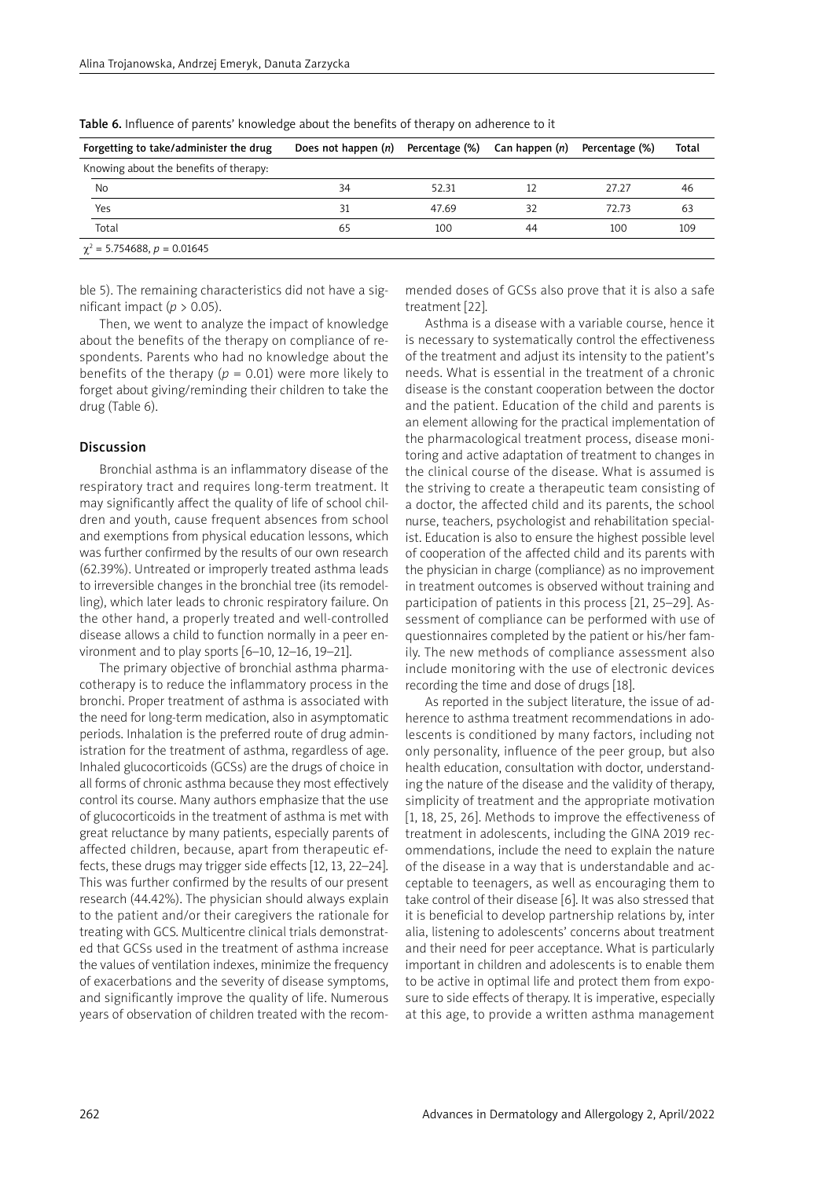| Forgetting to take/administer the drug | Does not happen $(n)$ Percentage $(\%)$ Can happen $(n)$ |       |    | Percentage (%) | Total |
|----------------------------------------|----------------------------------------------------------|-------|----|----------------|-------|
| Knowing about the benefits of therapy: |                                                          |       |    |                |       |
| No                                     | 34                                                       | 52.31 |    | 27.27          | 46    |
| Yes                                    | 31                                                       | 47.69 | 32 | 72.73          | 63    |
| Total                                  | 65                                                       | 100   | 44 | 100            | 109   |
| $\chi^2$ = 5.754688, p = 0.01645       |                                                          |       |    |                |       |

Table 6. Influence of parents' knowledge about the benefits of therapy on adherence to it

ble 5). The remaining characteristics did not have a significant impact ( $p > 0.05$ ).

Then, we went to analyze the impact of knowledge about the benefits of the therapy on compliance of respondents. Parents who had no knowledge about the benefits of the therapy ( $p = 0.01$ ) were more likely to forget about giving/reminding their children to take the drug (Table 6).

#### Discussion

Bronchial asthma is an inflammatory disease of the respiratory tract and requires long-term treatment. It may significantly affect the quality of life of school children and youth, cause frequent absences from school and exemptions from physical education lessons, which was further confirmed by the results of our own research (62.39%). Untreated or improperly treated asthma leads to irreversible changes in the bronchial tree (its remodelling), which later leads to chronic respiratory failure. On the other hand, a properly treated and well-controlled disease allows a child to function normally in a peer environment and to play sports [6–10, 12–16, 19–21].

The primary objective of bronchial asthma pharmacotherapy is to reduce the inflammatory process in the bronchi. Proper treatment of asthma is associated with the need for long-term medication, also in asymptomatic periods. Inhalation is the preferred route of drug administration for the treatment of asthma, regardless of age. Inhaled glucocorticoids (GCSs) are the drugs of choice in all forms of chronic asthma because they most effectively control its course. Many authors emphasize that the use of glucocorticoids in the treatment of asthma is met with great reluctance by many patients, especially parents of affected children, because, apart from therapeutic effects, these drugs may trigger side effects [12, 13, 22–24]. This was further confirmed by the results of our present research (44.42%). The physician should always explain to the patient and/or their caregivers the rationale for treating with GCS. Multicentre clinical trials demonstrated that GCSs used in the treatment of asthma increase the values of ventilation indexes, minimize the frequency of exacerbations and the severity of disease symptoms, and significantly improve the quality of life. Numerous years of observation of children treated with the recommended doses of GCSs also prove that it is also a safe treatment [22].

Asthma is a disease with a variable course, hence it is necessary to systematically control the effectiveness of the treatment and adjust its intensity to the patient's needs. What is essential in the treatment of a chronic disease is the constant cooperation between the doctor and the patient. Education of the child and parents is an element allowing for the practical implementation of the pharmacological treatment process, disease monitoring and active adaptation of treatment to changes in the clinical course of the disease. What is assumed is the striving to create a therapeutic team consisting of a doctor, the affected child and its parents, the school nurse, teachers, psychologist and rehabilitation specialist. Education is also to ensure the highest possible level of cooperation of the affected child and its parents with the physician in charge (compliance) as no improvement in treatment outcomes is observed without training and participation of patients in this process [21, 25–29]. Assessment of compliance can be performed with use of questionnaires completed by the patient or his/her family. The new methods of compliance assessment also include monitoring with the use of electronic devices recording the time and dose of drugs [18].

As reported in the subject literature, the issue of adherence to asthma treatment recommendations in adolescents is conditioned by many factors, including not only personality, influence of the peer group, but also health education, consultation with doctor, understanding the nature of the disease and the validity of therapy, simplicity of treatment and the appropriate motivation [1, 18, 25, 26]. Methods to improve the effectiveness of treatment in adolescents, including the GINA 2019 recommendations, include the need to explain the nature of the disease in a way that is understandable and acceptable to teenagers, as well as encouraging them to take control of their disease [6]. It was also stressed that it is beneficial to develop partnership relations by, inter alia, listening to adolescents' concerns about treatment and their need for peer acceptance. What is particularly important in children and adolescents is to enable them to be active in optimal life and protect them from exposure to side effects of therapy. It is imperative, especially at this age, to provide a written asthma management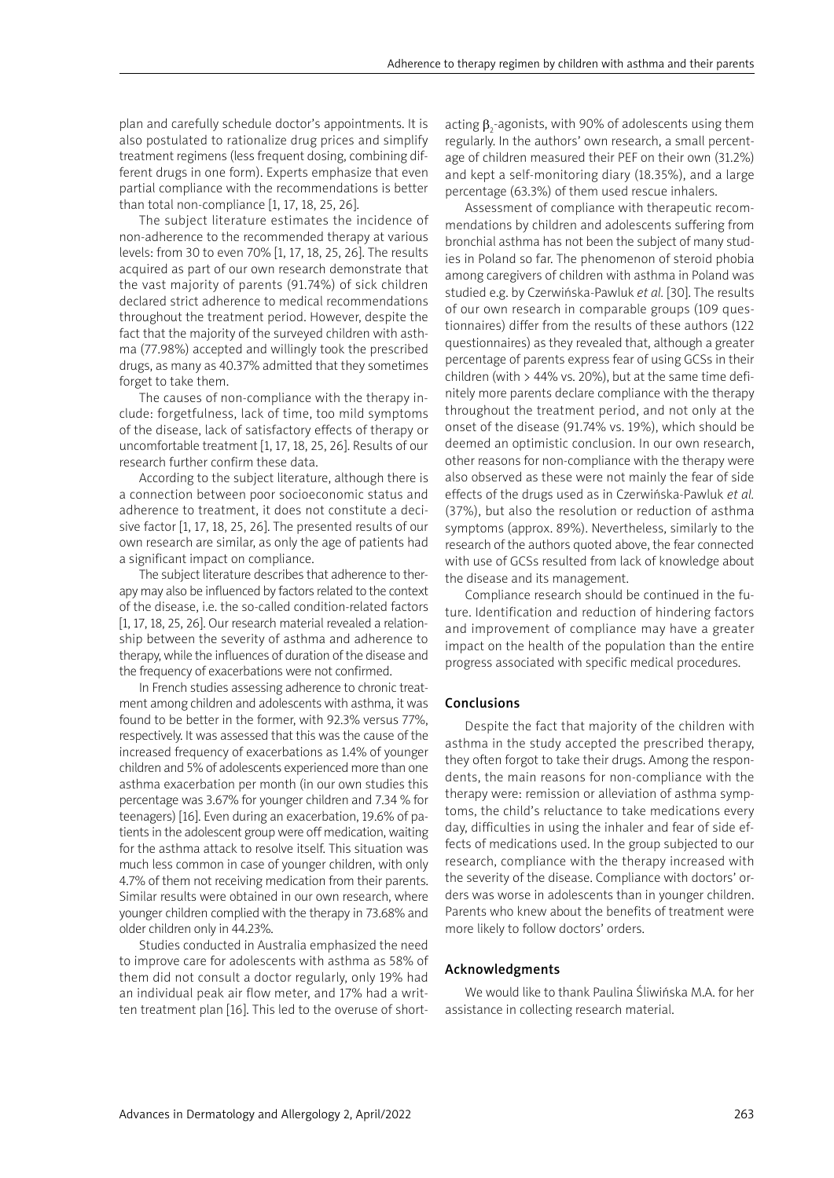plan and carefully schedule doctor's appointments. It is also postulated to rationalize drug prices and simplify treatment regimens (less frequent dosing, combining different drugs in one form). Experts emphasize that even partial compliance with the recommendations is better than total non-compliance [1, 17, 18, 25, 26].

The subject literature estimates the incidence of non-adherence to the recommended therapy at various levels: from 30 to even 70% [1, 17, 18, 25, 26]. The results acquired as part of our own research demonstrate that the vast majority of parents (91.74%) of sick children declared strict adherence to medical recommendations throughout the treatment period. However, despite the fact that the majority of the surveyed children with asthma (77.98%) accepted and willingly took the prescribed drugs, as many as 40.37% admitted that they sometimes forget to take them.

The causes of non-compliance with the therapy include: forgetfulness, lack of time, too mild symptoms of the disease, lack of satisfactory effects of therapy or uncomfortable treatment [1, 17, 18, 25, 26]. Results of our research further confirm these data.

According to the subject literature, although there is a connection between poor socioeconomic status and adherence to treatment, it does not constitute a decisive factor [1, 17, 18, 25, 26]. The presented results of our own research are similar, as only the age of patients had a significant impact on compliance.

The subject literature describes that adherence to therapy may also be influenced by factors related to the context of the disease, i.e. the so-called condition-related factors [1, 17, 18, 25, 26]. Our research material revealed a relationship between the severity of asthma and adherence to therapy, while the influences of duration of the disease and the frequency of exacerbations were not confirmed.

In French studies assessing adherence to chronic treatment among children and adolescents with asthma, it was found to be better in the former, with 92.3% versus 77%, respectively. It was assessed that this was the cause of the increased frequency of exacerbations as 1.4% of younger children and 5% of adolescents experienced more than one asthma exacerbation per month (in our own studies this percentage was 3.67% for younger children and 7.34 % for teenagers) [16]. Even during an exacerbation, 19.6% of patients in the adolescent group were off medication, waiting for the asthma attack to resolve itself. This situation was much less common in case of younger children, with only 4.7% of them not receiving medication from their parents. Similar results were obtained in our own research, where younger children complied with the therapy in 73.68% and older children only in 44.23%.

Studies conducted in Australia emphasized the need to improve care for adolescents with asthma as 58% of them did not consult a doctor regularly, only 19% had an individual peak air flow meter, and 17% had a written treatment plan [16]. This led to the overuse of short-

acting  $\beta_2$ -agonists, with 90% of adolescents using them regularly. In the authors' own research, a small percentage of children measured their PEF on their own (31.2%) and kept a self-monitoring diary (18.35%), and a large percentage (63.3%) of them used rescue inhalers.

Assessment of compliance with therapeutic recommendations by children and adolescents suffering from bronchial asthma has not been the subject of many studies in Poland so far. The phenomenon of steroid phobia among caregivers of children with asthma in Poland was studied e.g. by Czerwińska-Pawluk *et al.* [30]. The results of our own research in comparable groups (109 questionnaires) differ from the results of these authors (122 questionnaires) as they revealed that, although a greater percentage of parents express fear of using GCSs in their children (with > 44% vs. 20%), but at the same time definitely more parents declare compliance with the therapy throughout the treatment period, and not only at the onset of the disease (91.74% vs. 19%), which should be deemed an optimistic conclusion. In our own research, other reasons for non-compliance with the therapy were also observed as these were not mainly the fear of side effects of the drugs used as in Czerwińska-Pawluk *et al.* (37%), but also the resolution or reduction of asthma symptoms (approx. 89%). Nevertheless, similarly to the research of the authors quoted above, the fear connected with use of GCSs resulted from lack of knowledge about the disease and its management.

Compliance research should be continued in the future. Identification and reduction of hindering factors and improvement of compliance may have a greater impact on the health of the population than the entire progress associated with specific medical procedures.

### Conclusions

Despite the fact that majority of the children with asthma in the study accepted the prescribed therapy, they often forgot to take their drugs. Among the respondents, the main reasons for non-compliance with the therapy were: remission or alleviation of asthma symptoms, the child's reluctance to take medications every day, difficulties in using the inhaler and fear of side effects of medications used. In the group subjected to our research, compliance with the therapy increased with the severity of the disease. Compliance with doctors' orders was worse in adolescents than in younger children. Parents who knew about the benefits of treatment were more likely to follow doctors' orders.

# Acknowledgments

We would like to thank Paulina Śliwińska M.A. for her assistance in collecting research material.